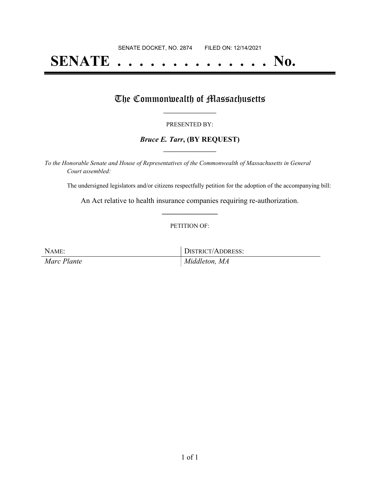# **SENATE . . . . . . . . . . . . . . No.**

### The Commonwealth of Massachusetts

#### PRESENTED BY:

#### *Bruce E. Tarr***, (BY REQUEST) \_\_\_\_\_\_\_\_\_\_\_\_\_\_\_\_\_**

*To the Honorable Senate and House of Representatives of the Commonwealth of Massachusetts in General Court assembled:*

The undersigned legislators and/or citizens respectfully petition for the adoption of the accompanying bill:

An Act relative to health insurance companies requiring re-authorization. **\_\_\_\_\_\_\_\_\_\_\_\_\_\_\_**

#### PETITION OF:

NAME: DISTRICT/ADDRESS:

*Marc Plante Middleton, MA*